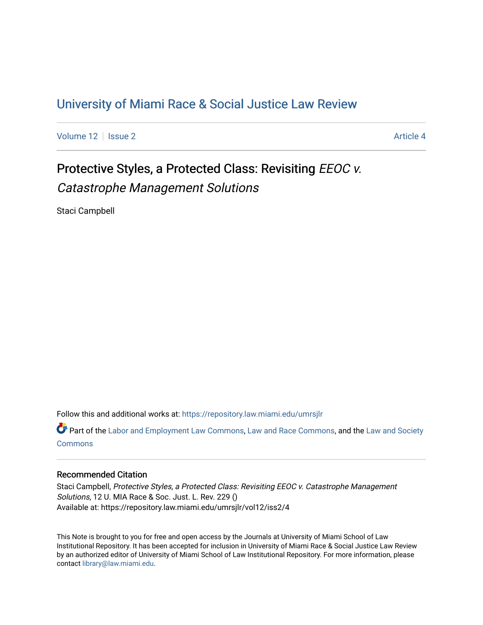## [University of Miami Race & Social Justice Law Review](https://repository.law.miami.edu/umrsjlr)

[Volume 12](https://repository.law.miami.edu/umrsjlr/vol12) | [Issue 2](https://repository.law.miami.edu/umrsjlr/vol12/iss2) Article 4

# Protective Styles, a Protected Class: Revisiting EEOC v. Catastrophe Management Solutions

Staci Campbell

Follow this and additional works at: [https://repository.law.miami.edu/umrsjlr](https://repository.law.miami.edu/umrsjlr?utm_source=repository.law.miami.edu%2Fumrsjlr%2Fvol12%2Fiss2%2F4&utm_medium=PDF&utm_campaign=PDFCoverPages)

Part of the [Labor and Employment Law Commons](http://network.bepress.com/hgg/discipline/909?utm_source=repository.law.miami.edu%2Fumrsjlr%2Fvol12%2Fiss2%2F4&utm_medium=PDF&utm_campaign=PDFCoverPages), [Law and Race Commons](http://network.bepress.com/hgg/discipline/1300?utm_source=repository.law.miami.edu%2Fumrsjlr%2Fvol12%2Fiss2%2F4&utm_medium=PDF&utm_campaign=PDFCoverPages), and the [Law and Society](http://network.bepress.com/hgg/discipline/853?utm_source=repository.law.miami.edu%2Fumrsjlr%2Fvol12%2Fiss2%2F4&utm_medium=PDF&utm_campaign=PDFCoverPages)  **[Commons](http://network.bepress.com/hgg/discipline/853?utm_source=repository.law.miami.edu%2Fumrsjlr%2Fvol12%2Fiss2%2F4&utm_medium=PDF&utm_campaign=PDFCoverPages)** 

### Recommended Citation

Staci Campbell, Protective Styles, a Protected Class: Revisiting EEOC v. Catastrophe Management Solutions, 12 U. MIA Race & Soc. Just. L. Rev. 229 () Available at: https://repository.law.miami.edu/umrsjlr/vol12/iss2/4

This Note is brought to you for free and open access by the Journals at University of Miami School of Law Institutional Repository. It has been accepted for inclusion in University of Miami Race & Social Justice Law Review by an authorized editor of University of Miami School of Law Institutional Repository. For more information, please contact [library@law.miami.edu](mailto:library@law.miami.edu).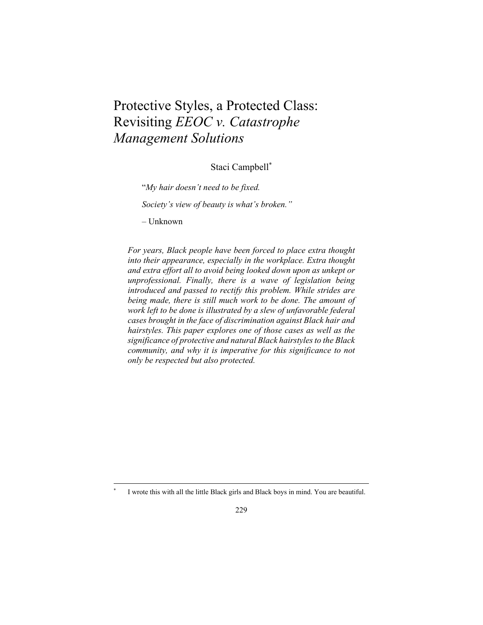## Protective Styles, a Protected Class: Revisiting *EEOC v. Catastrophe Management Solutions*

Staci Campbell\*

"*My hair doesn't need to be fixed.* 

*Society's view of beauty is what's broken."* 

– Unknown

*For years, Black people have been forced to place extra thought into their appearance, especially in the workplace. Extra thought and extra effort all to avoid being looked down upon as unkept or unprofessional. Finally, there is a wave of legislation being introduced and passed to rectify this problem. While strides are being made, there is still much work to be done. The amount of work left to be done is illustrated by a slew of unfavorable federal cases brought in the face of discrimination against Black hair and hairstyles. This paper explores one of those cases as well as the significance of protective and natural Black hairstyles to the Black community, and why it is imperative for this significance to not only be respected but also protected.* 

I wrote this with all the little Black girls and Black boys in mind. You are beautiful.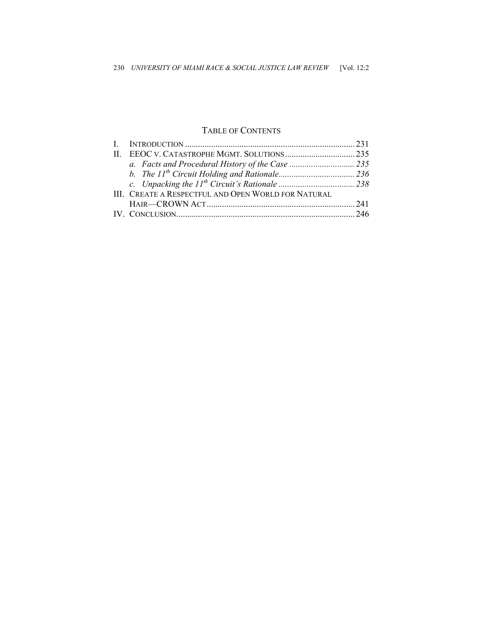## TABLE OF CONTENTS

| III. CREATE A RESPECTFUL AND OPEN WORLD FOR NATURAL |  |
|-----------------------------------------------------|--|
|                                                     |  |
|                                                     |  |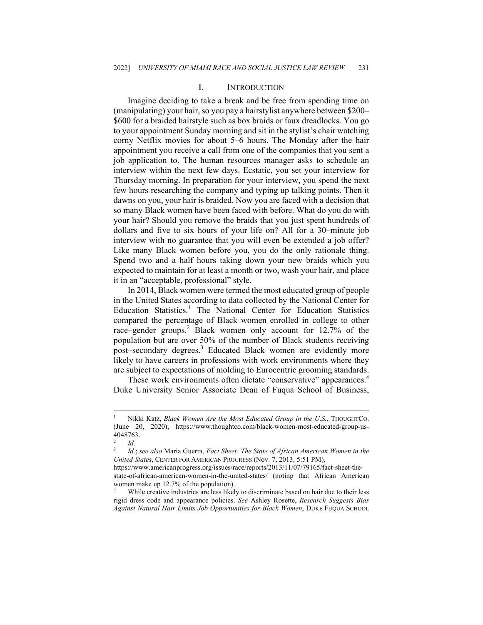#### I. INTRODUCTION

Imagine deciding to take a break and be free from spending time on (manipulating) your hair, so you pay a hairstylist anywhere between \$200– \$600 for a braided hairstyle such as box braids or faux dreadlocks. You go to your appointment Sunday morning and sit in the stylist's chair watching corny Netflix movies for about 5–6 hours. The Monday after the hair appointment you receive a call from one of the companies that you sent a job application to. The human resources manager asks to schedule an interview within the next few days. Ecstatic, you set your interview for Thursday morning. In preparation for your interview, you spend the next few hours researching the company and typing up talking points. Then it dawns on you, your hair is braided. Now you are faced with a decision that so many Black women have been faced with before. What do you do with your hair? Should you remove the braids that you just spent hundreds of dollars and five to six hours of your life on? All for a 30–minute job interview with no guarantee that you will even be extended a job offer? Like many Black women before you, you do the only rationale thing. Spend two and a half hours taking down your new braids which you expected to maintain for at least a month or two, wash your hair, and place it in an "acceptable, professional" style.

In 2014, Black women were termed the most educated group of people in the United States according to data collected by the National Center for Education Statistics.<sup>1</sup> The National Center for Education Statistics compared the percentage of Black women enrolled in college to other race–gender groups.<sup>2</sup> Black women only account for 12.7% of the population but are over 50% of the number of Black students receiving post–secondary degrees.<sup>3</sup> Educated Black women are evidently more likely to have careers in professions with work environments where they are subject to expectations of molding to Eurocentric grooming standards.

These work environments often dictate "conservative" appearances.<sup>4</sup> Duke University Senior Associate Dean of Fuqua School of Business,

<sup>1</sup> Nikki Katz, *Black Women Are the Most Educated Group in the U.S.*, THOUGHTCO. (June 20, 2020), https://www.thoughtco.com/black-women-most-educated-group-us-4048763.

 $\frac{2}{3}$  *Id.* 

<sup>3</sup> *Id.*; *see also* Maria Guerra, *Fact Sheet: The State of African American Women in the United States*, CENTER FOR AMERICAN PROGRESS (Nov. 7, 2013, 5:51 PM),

https://www.americanprogress.org/issues/race/reports/2013/11/07/79165/fact-sheet-thestate-of-african-american-women-in-the-united-states/ (noting that African American women make up 12.7% of the population).

While creative industries are less likely to discriminate based on hair due to their less rigid dress code and appearance policies. *See* Ashley Rosette, *Research Suggests Bias Against Natural Hair Limits Job Opportunities for Black Women*, DUKE FUQUA SCHOOL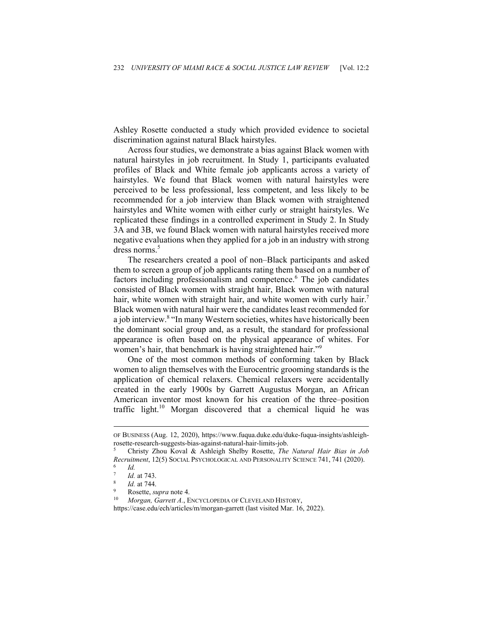Ashley Rosette conducted a study which provided evidence to societal discrimination against natural Black hairstyles.

Across four studies, we demonstrate a bias against Black women with natural hairstyles in job recruitment. In Study 1, participants evaluated profiles of Black and White female job applicants across a variety of hairstyles. We found that Black women with natural hairstyles were perceived to be less professional, less competent, and less likely to be recommended for a job interview than Black women with straightened hairstyles and White women with either curly or straight hairstyles. We replicated these findings in a controlled experiment in Study 2. In Study 3A and 3B, we found Black women with natural hairstyles received more negative evaluations when they applied for a job in an industry with strong dress norms.<sup>5</sup>

The researchers created a pool of non–Black participants and asked them to screen a group of job applicants rating them based on a number of factors including professionalism and competence.<sup>6</sup> The job candidates consisted of Black women with straight hair, Black women with natural hair, white women with straight hair, and white women with curly hair.<sup>7</sup> Black women with natural hair were the candidates least recommended for a job interview.<sup>8</sup> "In many Western societies, whites have historically been the dominant social group and, as a result, the standard for professional appearance is often based on the physical appearance of whites. For women's hair, that benchmark is having straightened hair."<sup>9</sup>

One of the most common methods of conforming taken by Black women to align themselves with the Eurocentric grooming standards is the application of chemical relaxers. Chemical relaxers were accidentally created in the early 1900s by Garrett Augustus Morgan, an African American inventor most known for his creation of the three–position traffic light.10 Morgan discovered that a chemical liquid he was

https://case.edu/ech/articles/m/morgan-garrett (last visited Mar. 16, 2022).

OF BUSINESS (Aug. 12, 2020), https://www.fuqua.duke.edu/duke-fuqua-insights/ashleighrosette-research-suggests-bias-against-natural-hair-limits-job.

<sup>5</sup> Christy Zhou Koval & Ashleigh Shelby Rosette, *The Natural Hair Bias in Job Recruitment*, 12(5) SOCIAL PSYCHOLOGICAL AND PERSONALITY SCIENCE 741, 741 (2020). 6 *Id.* 

<sup>7</sup> *Id.* at 743.<br><sup>8</sup> *Id.* at 744.<br><sup>9</sup> Rosette, *supra* note 4.<br><sup>10</sup> *Morgan, Garrett A.*, ENCYCLOPEDIA OF CLEVELAND HISTORY,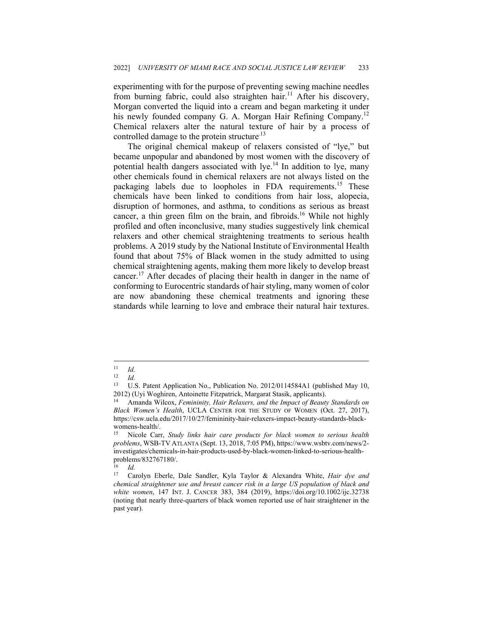experimenting with for the purpose of preventing sewing machine needles from burning fabric, could also straighten hair.<sup>11</sup> After his discovery, Morgan converted the liquid into a cream and began marketing it under his newly founded company G. A. Morgan Hair Refining Company.<sup>12</sup> Chemical relaxers alter the natural texture of hair by a process of controlled damage to the protein structure<sup>13</sup>

The original chemical makeup of relaxers consisted of "lye," but became unpopular and abandoned by most women with the discovery of potential health dangers associated with  $lye<sup>14</sup>$  In addition to lye, many other chemicals found in chemical relaxers are not always listed on the packaging labels due to loopholes in FDA requirements.<sup>15</sup> These chemicals have been linked to conditions from hair loss, alopecia, disruption of hormones, and asthma, to conditions as serious as breast cancer, a thin green film on the brain, and fibroids.<sup>16</sup> While not highly profiled and often inconclusive, many studies suggestively link chemical relaxers and other chemical straightening treatments to serious health problems. A 2019 study by the National Institute of Environmental Health found that about 75% of Black women in the study admitted to using chemical straightening agents, making them more likely to develop breast cancer.<sup>17</sup> After decades of placing their health in danger in the name of conforming to Eurocentric standards of hair styling, many women of color are now abandoning these chemical treatments and ignoring these standards while learning to love and embrace their natural hair textures.

 $\frac{16}{17}$  *Id.* 

 $\frac{11}{12}$  *Id.* 

 $\frac{12}{13}$  *Id.* 

U.S. Patent Application No., Publication No. 2012/0114584A1 (published May 10, 2012) (Uyi Woghiren, Antoinette Fitzpatrick, Margarat Stasik, applicants). 14 Amanda Wilcox, *Femininity, Hair Relaxers, and the Impact of Beauty Standards on* 

*Black Women's Health*, UCLA CENTER FOR THE STUDY OF WOMEN (Oct. 27, 2017), https://csw.ucla.edu/2017/10/27/femininity-hair-relaxers-impact-beauty-standards-blackwomens-health/.<br><sup>15</sup> Nicole Corn

<sup>15</sup> Nicole Carr, *Study links hair care products for black women to serious health problems*, WSB-TV ATLANTA (Sept. 13, 2018, 7:05 PM), https://www.wsbtv.com/news/2 investigates/chemicals-in-hair-products-used-by-black-women-linked-to-serious-healthproblems/832767180/.

<sup>17</sup> Carolyn Eberle, Dale Sandler, Kyla Taylor & Alexandra White, *Hair dye and chemical straightener use and breast cancer risk in a large US population of black and white women*, 147 INT. J. CANCER 383, 384 (2019), https://doi.org/10.1002/ijc.32738 (noting that nearly three-quarters of black women reported use of hair straightener in the past year).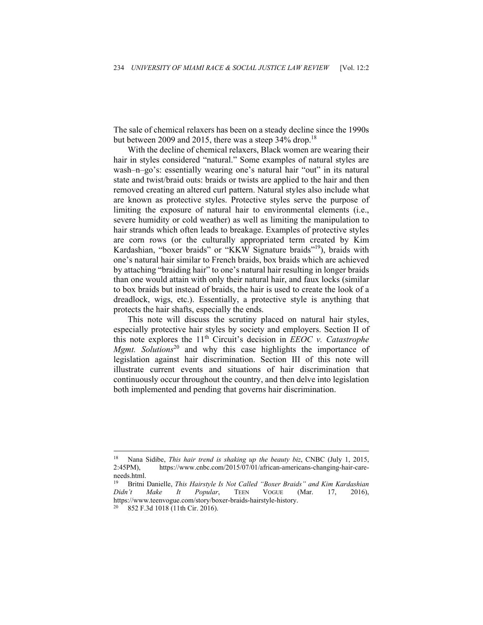The sale of chemical relaxers has been on a steady decline since the 1990s but between 2009 and 2015, there was a steep  $34\%$  drop.<sup>18</sup>

With the decline of chemical relaxers, Black women are wearing their hair in styles considered "natural." Some examples of natural styles are wash–n–go's: essentially wearing one's natural hair "out" in its natural state and twist/braid outs: braids or twists are applied to the hair and then removed creating an altered curl pattern. Natural styles also include what are known as protective styles. Protective styles serve the purpose of limiting the exposure of natural hair to environmental elements (i.e., severe humidity or cold weather) as well as limiting the manipulation to hair strands which often leads to breakage. Examples of protective styles are corn rows (or the culturally appropriated term created by Kim Kardashian, "boxer braids" or "KKW Signature braids"19), braids with one's natural hair similar to French braids, box braids which are achieved by attaching "braiding hair" to one's natural hair resulting in longer braids than one would attain with only their natural hair, and faux locks (similar to box braids but instead of braids, the hair is used to create the look of a dreadlock, wigs, etc.). Essentially, a protective style is anything that protects the hair shafts, especially the ends.

This note will discuss the scrutiny placed on natural hair styles, especially protective hair styles by society and employers. Section II of this note explores the 11th Circuit's decision in *EEOC v. Catastrophe Mgmt. Solutions*<sup>20</sup> and why this case highlights the importance of legislation against hair discrimination. Section III of this note will illustrate current events and situations of hair discrimination that continuously occur throughout the country, and then delve into legislation both implemented and pending that governs hair discrimination.

<sup>18</sup> Nana Sidibe, *This hair trend is shaking up the beauty biz*, CNBC (July 1, 2015, 2:45PM), https://www.cnbc.com/2015/07/01/african-americans-changing-hair-careneeds.html.

<sup>19</sup> Britni Danielle, *This Hairstyle Is Not Called "Boxer Braids" and Kim Kardashian Didn't Make It Popular*, TEEN VOGUE (Mar. 17, 2016), https://www.teenvogue.com/story/boxer-braids-hairstyle-history.<br><sup>20</sup> 852 F.3d 1018 (11th Cir. 2016).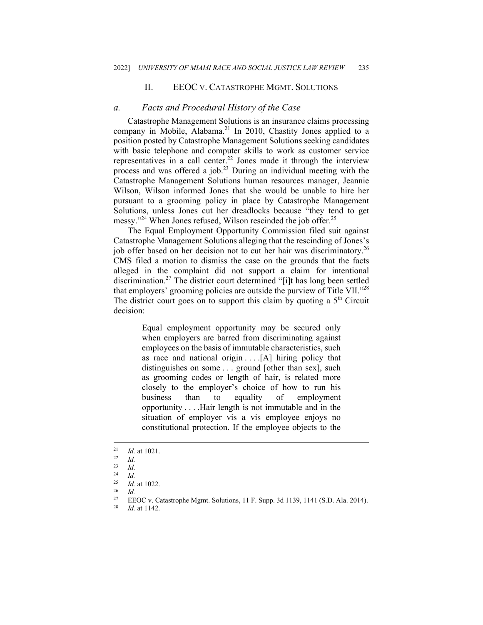#### II. EEOC V. CATASTROPHE MGMT. SOLUTIONS

#### *a. Facts and Procedural History of the Case*

Catastrophe Management Solutions is an insurance claims processing company in Mobile, Alabama.<sup>21</sup> In 2010, Chastity Jones applied to a position posted by Catastrophe Management Solutions seeking candidates with basic telephone and computer skills to work as customer service representatives in a call center.22 Jones made it through the interview process and was offered a job.<sup>23</sup> During an individual meeting with the Catastrophe Management Solutions human resources manager, Jeannie Wilson, Wilson informed Jones that she would be unable to hire her pursuant to a grooming policy in place by Catastrophe Management Solutions, unless Jones cut her dreadlocks because "they tend to get messy."<sup>24</sup> When Jones refused, Wilson rescinded the job offer.<sup>25</sup>

The Equal Employment Opportunity Commission filed suit against Catastrophe Management Solutions alleging that the rescinding of Jones's job offer based on her decision not to cut her hair was discriminatory.<sup>26</sup> CMS filed a motion to dismiss the case on the grounds that the facts alleged in the complaint did not support a claim for intentional discrimination.27 The district court determined "[i]t has long been settled that employers' grooming policies are outside the purview of Title VII."<sup>28</sup> The district court goes on to support this claim by quoting a  $5<sup>th</sup>$  Circuit decision:

> Equal employment opportunity may be secured only when employers are barred from discriminating against employees on the basis of immutable characteristics, such as race and national origin . . . .[A] hiring policy that distinguishes on some . . . ground [other than sex], such as grooming codes or length of hair, is related more closely to the employer's choice of how to run his business than to equality of employment opportunity . . . .Hair length is not immutable and in the situation of employer vis a vis employee enjoys no constitutional protection. If the employee objects to the

<sup>21</sup> *Id.* at 1021. 22 *Id.* 

 $\frac{23}{24}$  *Id.* 

 $\frac{24}{25}$  *Id.* 

<sup>25</sup> *Id.* at 1022. 26 *Id.*

<sup>27</sup> EEOC v. Catastrophe Mgmt. Solutions, 11 F. Supp. 3d 1139, 1141 (S.D. Ala. 2014). 28 *Id.* at 1142.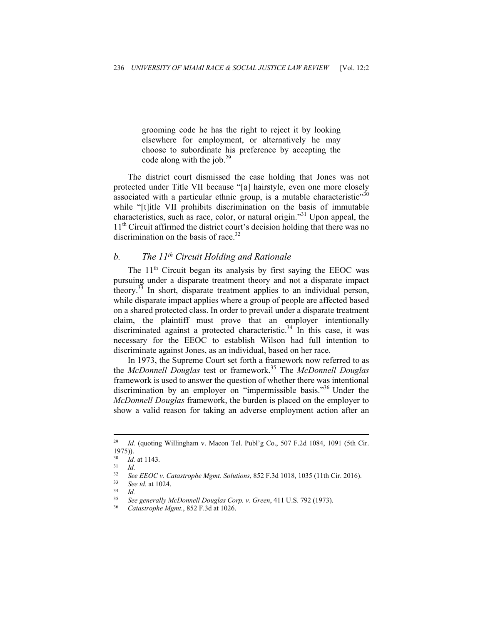grooming code he has the right to reject it by looking elsewhere for employment, or alternatively he may choose to subordinate his preference by accepting the code along with the job.<sup>29</sup>

The district court dismissed the case holding that Jones was not protected under Title VII because "[a] hairstyle, even one more closely associated with a particular ethnic group, is a mutable characteristic<sup> $30$ </sup> while "[t]itle VII prohibits discrimination on the basis of immutable characteristics, such as race, color, or natural origin."31 Upon appeal, the  $11<sup>th</sup>$  Circuit affirmed the district court's decision holding that there was no discrimination on the basis of race.<sup>32</sup>

## *b. The 11th Circuit Holding and Rationale*

The  $11<sup>th</sup>$  Circuit began its analysis by first saying the EEOC was pursuing under a disparate treatment theory and not a disparate impact theory.33 In short, disparate treatment applies to an individual person, while disparate impact applies where a group of people are affected based on a shared protected class. In order to prevail under a disparate treatment claim, the plaintiff must prove that an employer intentionally discriminated against a protected characteristic.<sup>34</sup> In this case, it was necessary for the EEOC to establish Wilson had full intention to discriminate against Jones, as an individual, based on her race.

In 1973, the Supreme Court set forth a framework now referred to as the *McDonnell Douglas* test or framework.35 The *McDonnell Douglas* framework is used to answer the question of whether there was intentional discrimination by an employer on "impermissible basis."36 Under the *McDonnell Douglas* framework, the burden is placed on the employer to show a valid reason for taking an adverse employment action after an

<sup>&</sup>lt;sup>29</sup> Id. (quoting Willingham v. Macon Tel. Publ'g Co., 507 F.2d 1084, 1091 (5th Cir. 1975)).

<sup>30</sup> *Id.* at 1143. 31 *Id.*

<sup>32</sup> *See EEOC v. Catastrophe Mgmt. Solutions*, 852 F.3d 1018, 1035 (11th Cir. 2016). 33 *See id.* at 1024. 34 *Id.* 

<sup>35</sup> *See generally McDonnell Douglas Corp. v. Green*, 411 U.S. 792 (1973). 36 *Catastrophe Mgmt.*, 852 F.3d at 1026.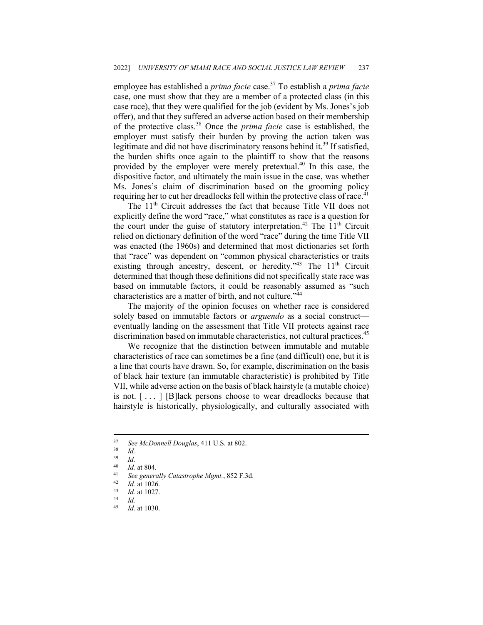employee has established a *prima facie* case.37 To establish a *prima facie*  case, one must show that they are a member of a protected class (in this case race), that they were qualified for the job (evident by Ms. Jones's job offer), and that they suffered an adverse action based on their membership of the protective class.38 Once the *prima facie* case is established, the employer must satisfy their burden by proving the action taken was legitimate and did not have discriminatory reasons behind it.<sup>39</sup> If satisfied, the burden shifts once again to the plaintiff to show that the reasons provided by the employer were merely pretextual.<sup>40</sup> In this case, the dispositive factor, and ultimately the main issue in the case, was whether Ms. Jones's claim of discrimination based on the grooming policy requiring her to cut her dreadlocks fell within the protective class of race.<sup>41</sup>

The 11<sup>th</sup> Circuit addresses the fact that because Title VII does not explicitly define the word "race," what constitutes as race is a question for the court under the guise of statutory interpretation.<sup>42</sup> The  $11<sup>th</sup>$  Circuit relied on dictionary definition of the word "race" during the time Title VII was enacted (the 1960s) and determined that most dictionaries set forth that "race" was dependent on "common physical characteristics or traits existing through ancestry, descent, or heredity."<sup>43</sup> The  $11<sup>th</sup>$  Circuit determined that though these definitions did not specifically state race was based on immutable factors, it could be reasonably assumed as "such characteristics are a matter of birth, and not culture."<sup>44</sup>

The majority of the opinion focuses on whether race is considered solely based on immutable factors or *arguendo* as a social construct eventually landing on the assessment that Title VII protects against race discrimination based on immutable characteristics, not cultural practices.<sup>45</sup>

We recognize that the distinction between immutable and mutable characteristics of race can sometimes be a fine (and difficult) one, but it is a line that courts have drawn. So, for example, discrimination on the basis of black hair texture (an immutable characteristic) is prohibited by Title VII, while adverse action on the basis of black hairstyle (a mutable choice) is not. [ . . . ] [B]lack persons choose to wear dreadlocks because that hairstyle is historically, physiologically, and culturally associated with

<sup>37</sup> *See McDonnell Douglas*, 411 U.S. at 802. 38 *Id.*

 $\frac{39}{40}$  *Id.* 

<sup>40</sup> *Id.* at 804.<br>
41 See generally Catastrophe Mgmt., 852 F.3d.<br>
42 *Id.* at 1027.<br>
44 *Id.*<br>
45 *Id.* at 1030

<sup>45</sup> *Id.* at 1030.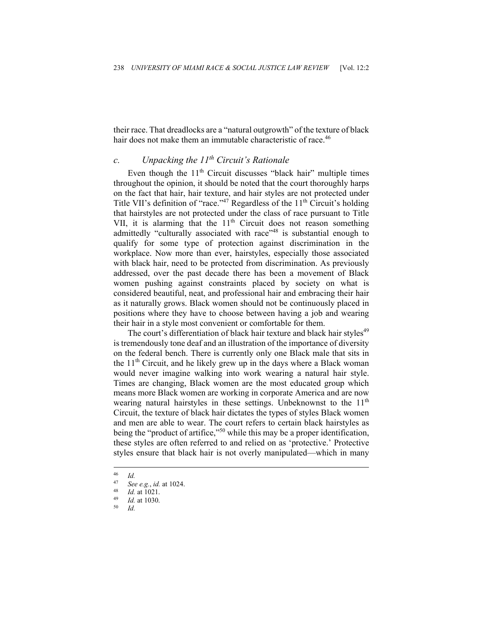their race. That dreadlocks are a "natural outgrowth" of the texture of black hair does not make them an immutable characteristic of race.<sup>46</sup>

### *c. Unpacking the 11th Circuit's Rationale*

Even though the  $11<sup>th</sup>$  Circuit discusses "black hair" multiple times throughout the opinion, it should be noted that the court thoroughly harps on the fact that hair, hair texture, and hair styles are not protected under Title VII's definition of "race."<sup>47</sup> Regardless of the  $11<sup>th</sup>$  Circuit's holding that hairstyles are not protected under the class of race pursuant to Title VII, it is alarming that the  $11<sup>th</sup>$  Circuit does not reason something admittedly "culturally associated with race"<sup>48</sup> is substantial enough to qualify for some type of protection against discrimination in the workplace. Now more than ever, hairstyles, especially those associated with black hair, need to be protected from discrimination. As previously addressed, over the past decade there has been a movement of Black women pushing against constraints placed by society on what is considered beautiful, neat, and professional hair and embracing their hair as it naturally grows. Black women should not be continuously placed in positions where they have to choose between having a job and wearing their hair in a style most convenient or comfortable for them.

The court's differentiation of black hair texture and black hair styles<sup>49</sup> is tremendously tone deaf and an illustration of the importance of diversity on the federal bench. There is currently only one Black male that sits in the  $11<sup>th</sup>$  Circuit, and he likely grew up in the days where a Black woman would never imagine walking into work wearing a natural hair style. Times are changing, Black women are the most educated group which means more Black women are working in corporate America and are now wearing natural hairstyles in these settings. Unbeknownst to the  $11<sup>th</sup>$ Circuit, the texture of black hair dictates the types of styles Black women and men are able to wear. The court refers to certain black hairstyles as being the "product of artifice,"<sup>50</sup> while this may be a proper identification, these styles are often referred to and relied on as 'protective.' Protective styles ensure that black hair is not overly manipulated—which in many

 $\frac{46}{47}$  *Id.* 

<sup>47</sup> *See e.g.*, *id.* at 1024. 48 *Id.* at 1021. 49 *Id.* at 1030. 50 *Id.*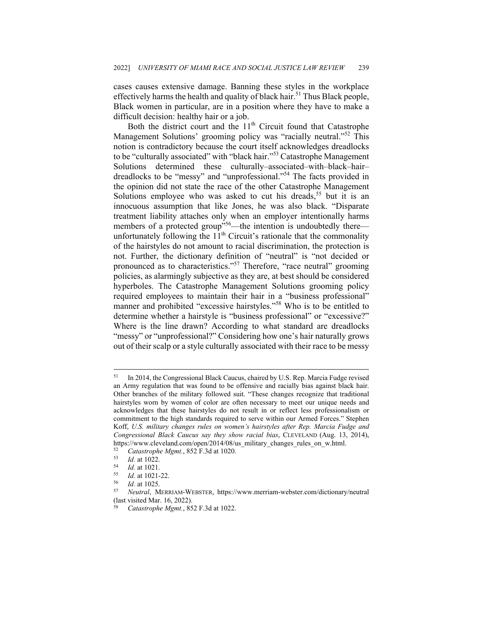cases causes extensive damage. Banning these styles in the workplace effectively harms the health and quality of black hair.<sup>51</sup> Thus Black people, Black women in particular, are in a position where they have to make a difficult decision: healthy hair or a job.

Both the district court and the  $11<sup>th</sup>$  Circuit found that Catastrophe Management Solutions' grooming policy was "racially neutral."<sup>52</sup> This notion is contradictory because the court itself acknowledges dreadlocks to be "culturally associated" with "black hair."<sup>53</sup> Catastrophe Management Solutions determined these culturally–associated–with–black–hair– dreadlocks to be "messy" and "unprofessional."54 The facts provided in the opinion did not state the race of the other Catastrophe Management Solutions employee who was asked to cut his dreads,  $55$  but it is an innocuous assumption that like Jones, he was also black. "Disparate treatment liability attaches only when an employer intentionally harms members of a protected group"<sup>56</sup>—the intention is undoubtedly there unfortunately following the  $11<sup>th</sup>$  Circuit's rationale that the commonality of the hairstyles do not amount to racial discrimination, the protection is not. Further, the dictionary definition of "neutral" is "not decided or pronounced as to characteristics."<sup>57</sup> Therefore, "race neutral" grooming policies, as alarmingly subjective as they are, at best should be considered hyperboles. The Catastrophe Management Solutions grooming policy required employees to maintain their hair in a "business professional" manner and prohibited "excessive hairstyles."58 Who is to be entitled to determine whether a hairstyle is "business professional" or "excessive?" Where is the line drawn? According to what standard are dreadlocks "messy" or "unprofessional?" Considering how one's hair naturally grows out of their scalp or a style culturally associated with their race to be messy

<sup>51</sup> In 2014, the Congressional Black Caucus, chaired by U.S. Rep. Marcia Fudge revised an Army regulation that was found to be offensive and racially bias against black hair. Other branches of the military followed suit. "These changes recognize that traditional hairstyles worn by women of color are often necessary to meet our unique needs and acknowledges that these hairstyles do not result in or reflect less professionalism or commitment to the high standards required to serve within our Armed Forces." Stephen Koff, *U.S. military changes rules on women's hairstyles after Rep. Marcia Fudge and Congressional Black Caucus say they show racial bias*, CLEVELAND (Aug. 13, 2014), https://www.cleveland.com/open/2014/08/us\_military\_changes\_rules\_on\_w.html. 52 *Catastrophe Mgmt.*, 852 F.3d at 1020.

<sup>53</sup> *Id.* at 1022.<br>
54 *Id.* at 1021.<br>
55 *Id.* at 1021-22.<br>
56 *Id.* at 1025.<br>
57 *Neutral*, MERRIAM-WEBSTER, https://www.merriam-webster.com/dictionary/neutral (last visited Mar. 16, 2022).

<sup>58</sup> *Catastrophe Mgmt.*, 852 F.3d at 1022.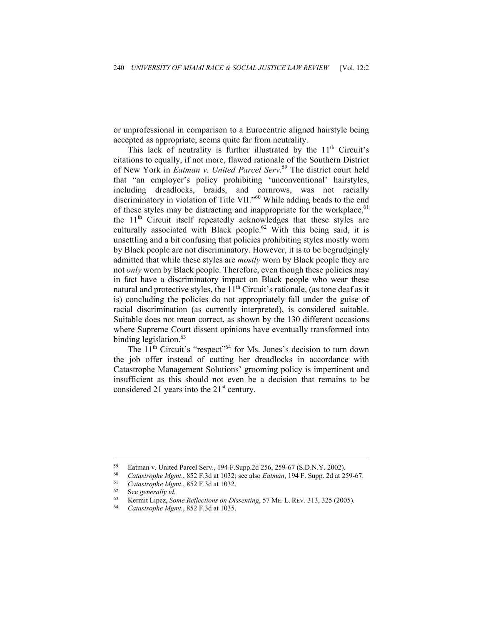or unprofessional in comparison to a Eurocentric aligned hairstyle being accepted as appropriate, seems quite far from neutrality.

This lack of neutrality is further illustrated by the  $11<sup>th</sup>$  Circuit's citations to equally, if not more, flawed rationale of the Southern District of New York in *Eatman v. United Parcel Serv.*59 The district court held that "an employer's policy prohibiting 'unconventional' hairstyles, including dreadlocks, braids, and cornrows, was not racially discriminatory in violation of Title VII."<sup>60</sup> While adding beads to the end of these styles may be distracting and inappropriate for the workplace,  $61$ the  $11<sup>th</sup>$  Circuit itself repeatedly acknowledges that these styles are culturally associated with Black people.<sup>62</sup> With this being said, it is unsettling and a bit confusing that policies prohibiting styles mostly worn by Black people are not discriminatory. However, it is to be begrudgingly admitted that while these styles are *mostly* worn by Black people they are not *only* worn by Black people. Therefore, even though these policies may in fact have a discriminatory impact on Black people who wear these natural and protective styles, the  $11<sup>th</sup>$  Circuit's rationale, (as tone deaf as it is) concluding the policies do not appropriately fall under the guise of racial discrimination (as currently interpreted), is considered suitable. Suitable does not mean correct, as shown by the 130 different occasions where Supreme Court dissent opinions have eventually transformed into binding legislation.<sup>63</sup>

The 11<sup>th</sup> Circuit's "respect"<sup>64</sup> for Ms. Jones's decision to turn down the job offer instead of cutting her dreadlocks in accordance with Catastrophe Management Solutions' grooming policy is impertinent and insufficient as this should not even be a decision that remains to be considered 21 years into the  $21<sup>st</sup>$  century.

<sup>&</sup>lt;sup>59</sup> Eatman v. United Parcel Serv., 194 F.Supp.2d 256, 259-67 (S.D.N.Y. 2002).<br> *Catastrophe Mgmt.*, 852 F.3d at 1032; see also *Eatman*, 194 F. Supp. 2d at 259-67.<br> *Catastrophe Mgmt.*, 852 F.3d at 1032.<br>
<sup>62</sup> See *gener*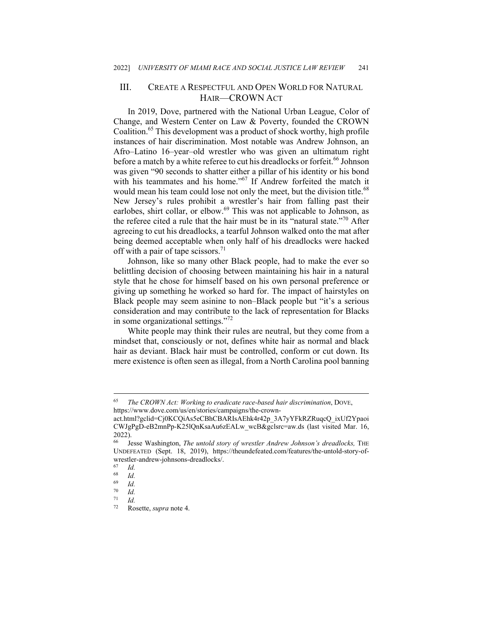## III. CREATE A RESPECTFUL AND OPEN WORLD FOR NATURAL HAIR—CROWN ACT

In 2019, Dove, partnered with the National Urban League, Color of Change, and Western Center on Law & Poverty, founded the CROWN Coalition.<sup>65</sup> This development was a product of shock worthy, high profile instances of hair discrimination. Most notable was Andrew Johnson, an Afro–Latino 16–year–old wrestler who was given an ultimatum right before a match by a white referee to cut his dreadlocks or forfeit.<sup>66</sup> Johnson was given "90 seconds to shatter either a pillar of his identity or his bond with his teammates and his home."<sup>67</sup> If Andrew forfeited the match it would mean his team could lose not only the meet, but the division title.<sup>68</sup> New Jersey's rules prohibit a wrestler's hair from falling past their earlobes, shirt collar, or elbow.<sup>69</sup> This was not applicable to Johnson, as the referee cited a rule that the hair must be in its "natural state."70 After agreeing to cut his dreadlocks, a tearful Johnson walked onto the mat after being deemed acceptable when only half of his dreadlocks were hacked off with a pair of tape scissors.<sup>71</sup>

Johnson, like so many other Black people, had to make the ever so belittling decision of choosing between maintaining his hair in a natural style that he chose for himself based on his own personal preference or giving up something he worked so hard for. The impact of hairstyles on Black people may seem asinine to non–Black people but "it's a serious consideration and may contribute to the lack of representation for Blacks in some organizational settings."72

White people may think their rules are neutral, but they come from a mindset that, consciously or not, defines white hair as normal and black hair as deviant. Black hair must be controlled, conform or cut down. Its mere existence is often seen as illegal, from a North Carolina pool banning

<sup>65</sup> *The CROWN Act: Working to eradicate race-based hair discrimination*, DOVE, https://www.dove.com/us/en/stories/campaigns/the-crown-

act.html?gclid=Cj0KCQiAs5eCBhCBARIsAEhk4r42p\_3A7yYFkRZRuqcQ\_ixUf2Ypaoi CWJgPgD-eB2mnPp-K25lQnKsaAu6zEALw\_wcB&gclsrc=aw.ds (last visited Mar. 16,  $2022$ ).

<sup>66</sup> Jesse Washington, *The untold story of wrestler Andrew Johnson's dreadlocks,* THE UNDEFEATED (Sept. 18, 2019), https://theundefeated.com/features/the-untold-story-ofwrestler-andrew-johnsons-dreadlocks/.

 $\begin{array}{cc} 67 & Id. \\ 68 & Id. \end{array}$ 

 $\begin{array}{cc} 68 & Id. \\ 69 & Id. \end{array}$ 

 $\frac{69}{70}$  *Id.* 

 $\frac{70}{71}$  *Id.* 

 $\frac{71}{72}$  *Id.* 

<sup>72</sup> Rosette, *supra* note 4.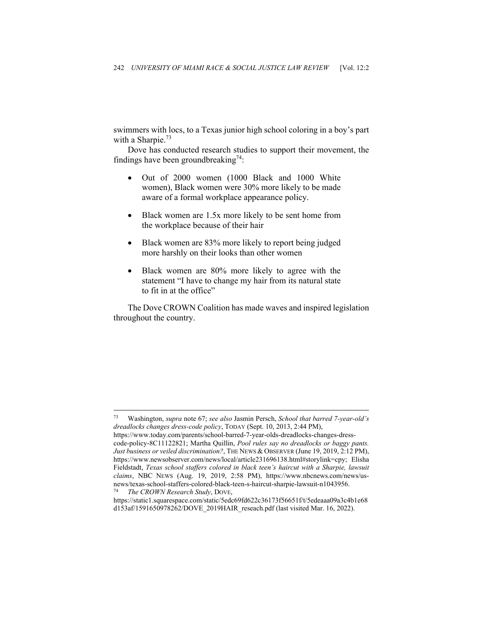swimmers with locs, to a Texas junior high school coloring in a boy's part with a Sharpie. $^{73}$ 

Dove has conducted research studies to support their movement, the findings have been groundbreaking<sup>74</sup>:

- Out of 2000 women (1000 Black and 1000 White women), Black women were 30% more likely to be made aware of a formal workplace appearance policy.
- Black women are 1.5x more likely to be sent home from the workplace because of their hair
- Black women are 83% more likely to report being judged more harshly on their looks than other women
- Black women are 80% more likely to agree with the statement "I have to change my hair from its natural state to fit in at the office"

The Dove CROWN Coalition has made waves and inspired legislation throughout the country.

<sup>73</sup> Washington, *supra* note 67; *see also* Jasmin Persch, *School that barred 7-year-old's dreadlocks changes dress-code policy*, TODAY (Sept. 10, 2013, 2:44 PM),

https://www.today.com/parents/school-barred-7-year-olds-dreadlocks-changes-dresscode-policy-8C11122821; Martha Quillin, *Pool rules say no dreadlocks or baggy pants. Just business or veiled discrimination?*, THE NEWS & OBSERVER (June 19, 2019, 2:12 PM), https://www.newsobserver.com/news/local/article231696138.html#storylink=cpy; Elisha Fieldstadt, *Texas school staffers colored in black teen's haircut with a Sharpie, lawsuit claims*, NBC NEWS (Aug. 19, 2019, 2:58 PM), https://www.nbcnews.com/news/usnews/texas-school-staffers-colored-black-teen-s-haircut-sharpie-lawsuit-n1043956. 74 *The CROWN Research Study*, DOVE,

https://static1.squarespace.com/static/5edc69fd622c36173f56651f/t/5edeaaa09a3c4b1e68 d153af/1591650978262/DOVE\_2019HAIR\_reseach.pdf (last visited Mar. 16, 2022).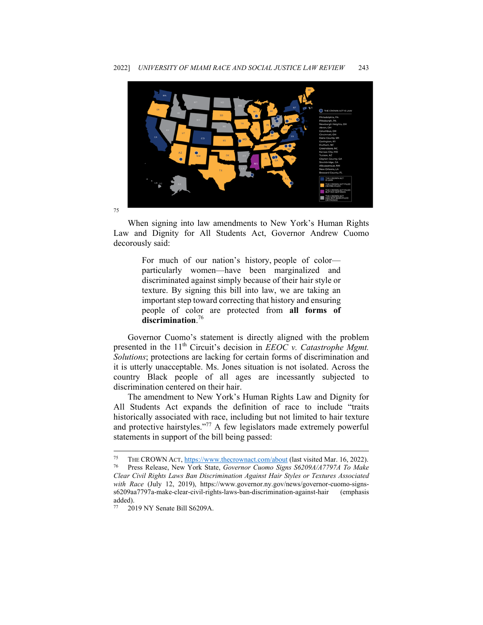

When signing into law amendments to New York's Human Rights Law and Dignity for All Students Act, Governor Andrew Cuomo decorously said:

> For much of our nation's history, people of color particularly women—have been marginalized and discriminated against simply because of their hair style or texture. By signing this bill into law, we are taking an important step toward correcting that history and ensuring people of color are protected from **all forms of discrimination**. 76

Governor Cuomo's statement is directly aligned with the problem presented in the 11<sup>th</sup> Circuit's decision in *EEOC v. Catastrophe Mgmt. Solutions*; protections are lacking for certain forms of discrimination and it is utterly unacceptable. Ms. Jones situation is not isolated. Across the country Black people of all ages are incessantly subjected to discrimination centered on their hair.

The amendment to New York's Human Rights Law and Dignity for All Students Act expands the definition of race to include "traits historically associated with race, including but not limited to hair texture and protective hairstyles."77 A few legislators made extremely powerful statements in support of the bill being passed:

<sup>75</sup> THE CROWN ACT, https://www.thecrownact.com/about (last visited Mar. 16, 2022). 76 Press Release, New York State, *Governor Cuomo Signs S6209A/A7797A To Make* 

*Clear Civil Rights Laws Ban Discrimination Against Hair Styles or Textures Associated with Race* (July 12, 2019), https://www.governor.ny.gov/news/governor-cuomo-signss6209aa7797a-make-clear-civil-rights-laws-ban-discrimination-against-hair (emphasis added).

<sup>77 2019</sup> NY Senate Bill S6209A.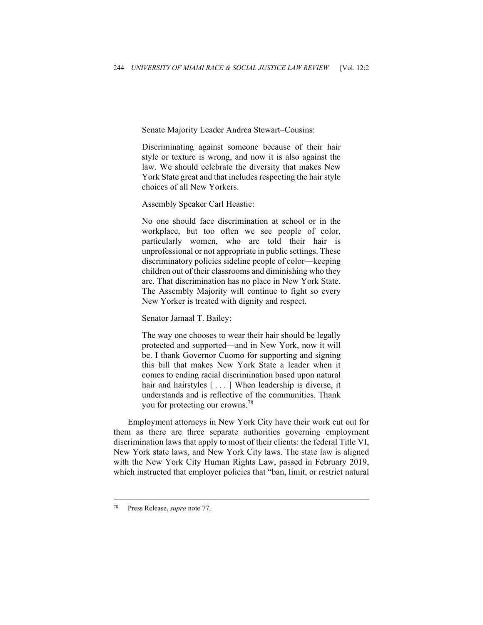Senate Majority Leader Andrea Stewart–Cousins:

Discriminating against someone because of their hair style or texture is wrong, and now it is also against the law. We should celebrate the diversity that makes New York State great and that includes respecting the hair style choices of all New Yorkers.

Assembly Speaker Carl Heastie:

No one should face discrimination at school or in the workplace, but too often we see people of color, particularly women, who are told their hair is unprofessional or not appropriate in public settings. These discriminatory policies sideline people of color—keeping children out of their classrooms and diminishing who they are. That discrimination has no place in New York State. The Assembly Majority will continue to fight so every New Yorker is treated with dignity and respect.

Senator Jamaal T. Bailey:

The way one chooses to wear their hair should be legally protected and supported—and in New York, now it will be. I thank Governor Cuomo for supporting and signing this bill that makes New York State a leader when it comes to ending racial discrimination based upon natural hair and hairstyles [...] When leadership is diverse, it understands and is reflective of the communities. Thank you for protecting our crowns.78

Employment attorneys in New York City have their work cut out for them as there are three separate authorities governing employment discrimination laws that apply to most of their clients: the federal Title VI, New York state laws, and New York City laws. The state law is aligned with the New York City Human Rights Law, passed in February 2019, which instructed that employer policies that "ban, limit, or restrict natural

<sup>78</sup> Press Release, *supra* note 77.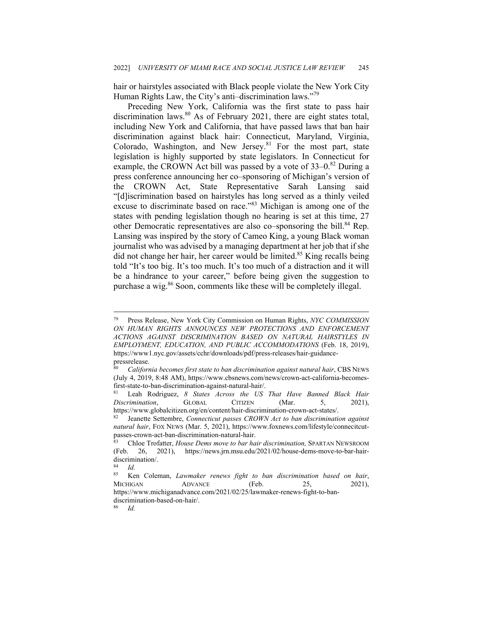hair or hairstyles associated with Black people violate the New York City Human Rights Law, the City's anti-discrimination laws."<sup>79</sup>

Preceding New York, California was the first state to pass hair discrimination laws. $80$  As of February 2021, there are eight states total, including New York and California, that have passed laws that ban hair discrimination against black hair: Connecticut, Maryland, Virginia, Colorado, Washington, and New Jersey.<sup>81</sup> For the most part, state legislation is highly supported by state legislators. In Connecticut for example, the CROWN Act bill was passed by a vote of  $33-0.82$  During a press conference announcing her co–sponsoring of Michigan's version of the CROWN Act, State Representative Sarah Lansing said "[d]iscrimination based on hairstyles has long served as a thinly veiled excuse to discriminate based on race."<sup>83</sup> Michigan is among one of the states with pending legislation though no hearing is set at this time, 27 other Democratic representatives are also co–sponsoring the bill.<sup>84</sup> Rep. Lansing was inspired by the story of Cameo King, a young Black woman journalist who was advised by a managing department at her job that if she did not change her hair, her career would be limited.<sup>85</sup> King recalls being told "It's too big. It's too much. It's too much of a distraction and it will be a hindrance to your career," before being given the suggestion to purchase a wig.<sup>86</sup> Soon, comments like these will be completely illegal.

<sup>79</sup> Press Release, New York City Commission on Human Rights, *NYC COMMISSION ON HUMAN RIGHTS ANNOUNCES NEW PROTECTIONS AND ENFORCEMENT ACTIONS AGAINST DISCRIMINATION BASED ON NATURAL HAIRSTYLES IN EMPLOYMENT, EDUCATION, AND PUBLIC ACCOMMODATIONS* (Feb. 18, 2019), https://www1.nyc.gov/assets/cchr/downloads/pdf/press-releases/hair-guidancepressrelease.

<sup>80</sup> *California becomes first state to ban discrimination against natural hair*, CBS NEWS (July 4, 2019, 8:48 AM), https://www.cbsnews.com/news/crown-act-california-becomesfirst-state-to-ban-discrimination-against-natural-hair/. 81 Leah Rodriguez, *8 States Across the US That Have Banned Black Hair* 

*Discrimination*, GLOBAL CITIZEN (Mar. 5, 2021),

https://www.globalcitizen.org/en/content/hair-discrimination-crown-act-states/. 82 Jeanette Settembre, *Connecticut passes CROWN Act to ban discrimination against natural hair*, FOX NEWS (Mar. 5, 2021), https://www.foxnews.com/lifestyle/connecitcutpasses-crown-act-ban-discrimination-natural-hair.

<sup>83</sup> Chloe Trofatter, *House Dems move to bar hair discrimination,* SPARTAN NEWSROOM (Feb. 26, 2021), https://news.jrn.msu.edu/2021/02/house-dems-move-to-bar-hairdiscrimination/.

 $rac{84}{85}$  *Id.* 

<sup>85</sup> Ken Coleman, *Lawmaker renews fight to ban discrimination based on hair*, MICHIGAN ADVANCE (Feb. 25, 2021), https://www.michiganadvance.com/2021/02/25/lawmaker-renews-fight-to-bandiscrimination-based-on-hair/.

<sup>86</sup> *Id.*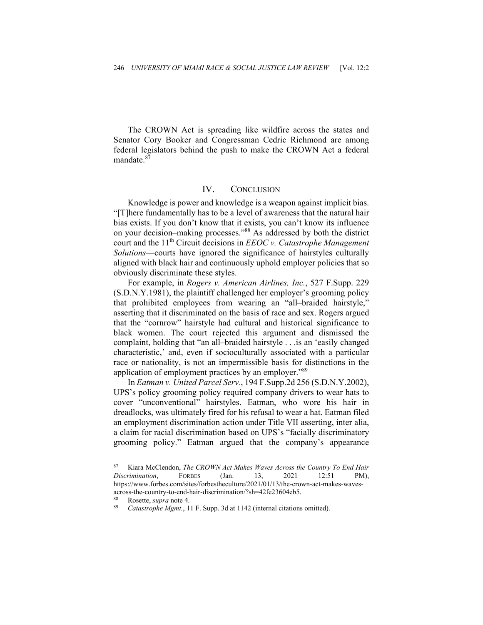The CROWN Act is spreading like wildfire across the states and Senator Cory Booker and Congressman Cedric Richmond are among federal legislators behind the push to make the CROWN Act a federal mandate.<sup>87</sup>

#### IV. CONCLUSION

Knowledge is power and knowledge is a weapon against implicit bias. "[T]here fundamentally has to be a level of awareness that the natural hair bias exists. If you don't know that it exists, you can't know its influence on your decision–making processes."88 As addressed by both the district court and the 11<sup>th</sup> Circuit decisions in *EEOC v. Catastrophe Management Solutions*—courts have ignored the significance of hairstyles culturally aligned with black hair and continuously uphold employer policies that so obviously discriminate these styles.

For example, in *Rogers v. American Airlines, Inc.*, 527 F.Supp. 229 (S.D.N.Y.1981), the plaintiff challenged her employer's grooming policy that prohibited employees from wearing an "all–braided hairstyle," asserting that it discriminated on the basis of race and sex. Rogers argued that the "cornrow" hairstyle had cultural and historical significance to black women. The court rejected this argument and dismissed the complaint, holding that "an all–braided hairstyle . . .is an 'easily changed characteristic,' and, even if socioculturally associated with a particular race or nationality, is not an impermissible basis for distinctions in the application of employment practices by an employer."89

In *Eatman v. United Parcel Serv.*, 194 F.Supp.2d 256 (S.D.N.Y.2002), UPS's policy grooming policy required company drivers to wear hats to cover "unconventional" hairstyles. Eatman, who wore his hair in dreadlocks, was ultimately fired for his refusal to wear a hat. Eatman filed an employment discrimination action under Title VII asserting, inter alia, a claim for racial discrimination based on UPS's "facially discriminatory grooming policy." Eatman argued that the company's appearance

<sup>87</sup> Kiara McClendon, *The CROWN Act Makes Waves Across the Country To End Hair Discrimination*, FORBES (Jan. 13, 2021 12:51 PM), https://www.forbes.com/sites/forbestheculture/2021/01/13/the-crown-act-makes-wavesacross-the-country-to-end-hair-discrimination/?sh=42fe23604eb5.

<sup>88</sup> Rosette, *supra* note 4. 89 *Catastrophe Mgmt.*, 11 F. Supp. 3d at 1142 (internal citations omitted).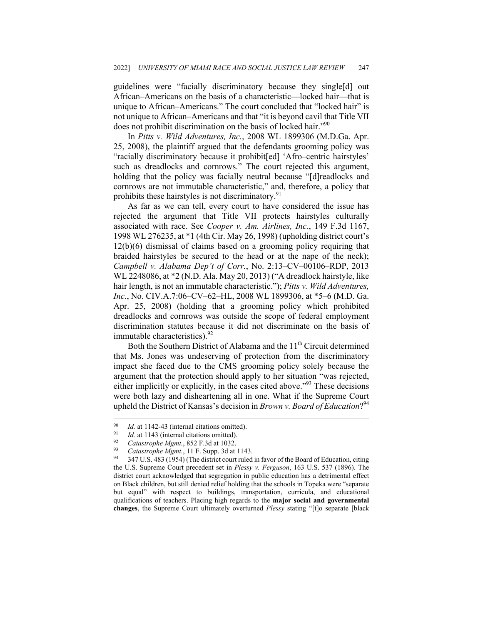guidelines were "facially discriminatory because they single[d] out African–Americans on the basis of a characteristic—locked hair—that is unique to African–Americans." The court concluded that "locked hair" is not unique to African–Americans and that "it is beyond cavil that Title VII does not prohibit discrimination on the basis of locked hair."<sup>90</sup>

In *Pitts v. Wild Adventures, Inc.*, 2008 WL 1899306 (M.D.Ga. Apr. 25, 2008), the plaintiff argued that the defendants grooming policy was "racially discriminatory because it prohibit[ed] 'Afro–centric hairstyles' such as dreadlocks and cornrows." The court rejected this argument, holding that the policy was facially neutral because "[d]readlocks and cornrows are not immutable characteristic," and, therefore, a policy that prohibits these hairstyles is not discriminatory. $91$ 

As far as we can tell, every court to have considered the issue has rejected the argument that Title VII protects hairstyles culturally associated with race. See *Cooper v. Am. Airlines, Inc.*, 149 F.3d 1167, 1998 WL 276235, at \*1 (4th Cir. May 26, 1998) (upholding district court's 12(b)(6) dismissal of claims based on a grooming policy requiring that braided hairstyles be secured to the head or at the nape of the neck); *Campbell v. Alabama Dep't of Corr.*, No. 2:13–CV–00106–RDP, 2013 WL 2248086, at \*2 (N.D. Ala. May 20, 2013) ("A dreadlock hairstyle, like hair length, is not an immutable characteristic."); *Pitts v. Wild Adventures, Inc.*, No. CIV.A.7:06–CV–62–HL, 2008 WL 1899306, at \*5–6 (M.D. Ga. Apr. 25, 2008) (holding that a grooming policy which prohibited dreadlocks and cornrows was outside the scope of federal employment discrimination statutes because it did not discriminate on the basis of immutable characteristics).  $92$ 

Both the Southern District of Alabama and the 11<sup>th</sup> Circuit determined that Ms. Jones was undeserving of protection from the discriminatory impact she faced due to the CMS grooming policy solely because the argument that the protection should apply to her situation "was rejected, either implicitly or explicitly, in the cases cited above."<sup>93</sup> These decisions were both lazy and disheartening all in one. What if the Supreme Court upheld the District of Kansas's decision in *Brown v. Board of Education*?<sup>94</sup>

<sup>&</sup>lt;sup>90</sup> *Id.* at 1142-43 (internal citations omitted).<br>
<sup>91</sup> *Id.* at 1143 (internal citations omitted).<br>
<sup>92</sup> *Catastrophe Mgmt.*, 852 F.3d at 1032.<br>
<sup>93</sup> *Catastrophe Mgmt.*, 11 F. Supp. 3d at 1143.<br>
<sup>94</sup> 347 U.S. 483 (195 the U.S. Supreme Court precedent set in *Plessy v. Ferguson*, 163 U.S. 537 (1896). The district court acknowledged that segregation in public education has a detrimental effect on Black children, but still denied relief holding that the schools in Topeka were "separate but equal" with respect to buildings, transportation, curricula, and educational qualifications of teachers. Placing high regards to the **major social and governmental changes**, the Supreme Court ultimately overturned *Plessy* stating "[t]o separate [black